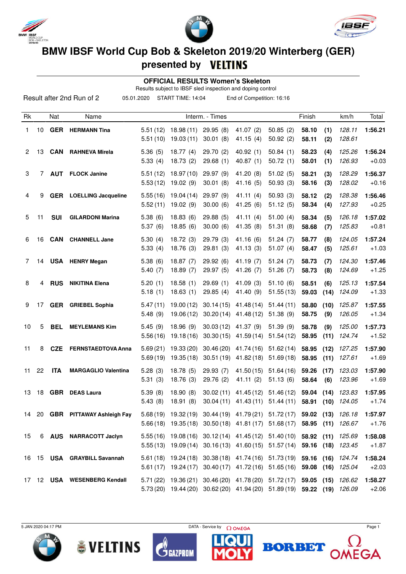





## **BMW IBSF World Cup Bob & Skeleton 2019/20 Winterberg (GER)**

## **presented by**

 **OFFICIAL RESULTS Women's Skeleton**

Results subject to IBSF sled inspection and doping control

|    |    |            | Result after 2nd Run of 2       | 05.01.2020           | START TIME: 14:04       |                        | End of Competition: 16:16                                                                                                                     |                        |                |              |                  |                    |
|----|----|------------|---------------------------------|----------------------|-------------------------|------------------------|-----------------------------------------------------------------------------------------------------------------------------------------------|------------------------|----------------|--------------|------------------|--------------------|
| Rk |    | Nat        | Name                            |                      |                         | Interm. - Times        |                                                                                                                                               |                        | Finish         |              | km/h             | Total              |
| 1  | 10 |            | <b>GER</b> HERMANN Tina         | 5.51(12)<br>5.51(10) | 18.98(11)<br>19.03(11)  | 29.95(8)<br>30.01(8)   | 41.07 $(2)$<br>41.15(4)                                                                                                                       | 50.85(2)<br>50.92(2)   | 58.10<br>58.11 | (1)<br>(2)   | 128.11<br>128.61 | 1:56.21            |
| 2  | 13 | <b>CAN</b> | <b>RAHNEVA Mirela</b>           | 5.36(5)<br>5.33(4)   | 18.77(4)<br>18.73(2)    | 29.70(2)<br>29.68(1)   | 40.92(1)<br>40.87(1)                                                                                                                          | 50.84(1)<br>50.72(1)   | 58.23<br>58.01 | (4)<br>(1)   | 125.26<br>126.93 | 1:56.24<br>$+0.03$ |
| 3  | 7  | <b>AUT</b> | <b>FLOCK Janine</b>             | 5.51(12)<br>5.53(12) | 18.97(10)<br>19.02(9)   | 29.97 (9)<br>30.01(8)  | 41.20(8)<br>41.16(5)                                                                                                                          | 51.02(5)<br>50.93(3)   | 58.21<br>58.16 | (3)<br>(3)   | 128.29<br>128.02 | 1:56.37<br>$+0.16$ |
| 4  | 9  | <b>GER</b> | <b>LOELLING Jacqueline</b>      | 5.55(16)<br>5.52(11) | 19.04 (14)<br>19.02(9)  | 29.97 (9)<br>30.00(6)  | 41.11(4)<br>41.25(6)                                                                                                                          | 50.93(3)<br>51.12(5)   | 58.12<br>58.34 | (2)<br>(4)   | 128.38<br>127.93 | 1:56.46<br>$+0.25$ |
| 5  | 11 | <b>SUI</b> | <b>GILARDONI Marina</b>         | 5.38(6)<br>5.37(6)   | 18.83(6)<br>18.85(6)    | 29.88(5)<br>30.00(6)   | 41.11(4)<br>41.35 (8)                                                                                                                         | 51.00(4)<br>51.31(8)   | 58.34<br>58.68 | (5)<br>(7)   | 126.18<br>125.83 | 1:57.02<br>$+0.81$ |
| 6  | 16 | <b>CAN</b> | <b>CHANNELL Jane</b>            | 5.30(4)<br>5.33(4)   | 18.72(3)<br>18.76(3)    | 29.79 (3)<br>29.81(3)  | 41.16(6)<br>41.13 (3)                                                                                                                         | 51.24(7)<br>51.07(4)   | 58.77<br>58.47 | (8)<br>(5)   | 124.05<br>125.61 | 1:57.24<br>$+1.03$ |
| 7  | 14 |            | <b>USA</b> HENRY Megan          | 5.38(6)<br>5.40(7)   | 18.87(7)<br>18.89(7)    | 29.92(6)<br>29.97(5)   | 41.19(7)<br>41.26(7)                                                                                                                          | 51.24(7)<br>51.26(7)   | 58.73<br>58.73 | (7)<br>(8)   | 124.30<br>124.69 | 1:57.46<br>$+1.25$ |
| 8  | 4  | <b>RUS</b> | <b>NIKITINA Elena</b>           | 5.20(1)<br>5.18(1)   | 18.58(1)<br>18.63(1)    | 29.69(1)<br>29.85(4)   | 41.09(3)<br>41.40 (9)                                                                                                                         | 51.10(6)<br>51.55(13)  | 58.51<br>59.03 | (6)<br>(14)  | 125.13<br>124.09 | 1:57.54<br>$+1.33$ |
| 9  | 17 |            | <b>GER</b> GRIEBEL Sophia       | 5.47(11)<br>5.48(9)  | 19.00(12)<br>19.06(12)  | 30.14(15)<br>30.20(14) | 41.48(14)<br>41.48 (12)                                                                                                                       | 51.44(11)<br>51.38(9)  | 58.80<br>58.75 | (10)<br>(9)  | 125.87<br>126.05 | 1:57.55<br>$+1.34$ |
| 10 | 5  | <b>BEL</b> | <b>MEYLEMANS Kim</b>            | 5.45(9)<br>5.56(16)  | 18.96(9)<br>19.18(16)   | 30.03(12)<br>30.30(15) | 41.37 (9)<br>41.59 (14)                                                                                                                       | 51.39(9)<br>51.54(12)  | 58.78<br>58.95 | (9)<br>(11)  | 125.00<br>124.74 | 1:57.73<br>$+1.52$ |
| 11 | 8  | <b>CZE</b> | <b>FERNSTAEDTOVA Anna</b>       | 5.69(21)<br>5.69(19) | 19.33 (20)<br>19.35(18) | 30.46(20)<br>30.51(19) | 41.74 (16)<br>41.82 (18)                                                                                                                      | 51.62(14)<br>51.69(18) | 58.95<br>58.95 | (12)<br>(11) | 127.25<br>127.61 | 1:57.90<br>$+1.69$ |
| 11 | 22 | <b>ITA</b> | <b>MARGAGLIO Valentina</b>      | 5.28(3)<br>5.31(3)   | 18.78(5)<br>18.76(3)    | 29.93(7)<br>29.76 (2)  | 41.50(15)<br>41.11(2)                                                                                                                         | 51.64(16)<br>51.13(6)  | 59.26<br>58.64 | (17)<br>(6)  | 123.03<br>123.96 | 1:57.90<br>$+1.69$ |
| 13 | 18 | <b>GBR</b> | <b>DEAS Laura</b>               | 5.39(8)<br>5.43(8)   | 18.90(8)                |                        | 30.02 (11) 41.45 (12) 51.46 (12)<br>18.91 (8) 30.04 (11) 41.43 (11) 51.44 (11) 58.91 (10) 124.05                                              |                        | 59.04          | (14)         | 123.83           | 1:57.95<br>$+1.74$ |
|    |    |            | 14 20 GBR PITTAWAY Ashleigh Fay |                      |                         |                        | 5.68 (19) 19.32 (19) 30.44 (19) 41.79 (21) 51.72 (17) 59.02 (13) 126.18<br>5.66(18) 19.35(18) 30.50(18) 41.81(17) 51.68(17) 58.95 (11) 126.67 |                        |                |              |                  | 1:57.97<br>$+1.76$ |
| 15 |    |            | 6 AUS NARRACOTT Jaclyn          |                      |                         |                        | 5.55 (16) 19.08 (16) 30.12 (14) 41.45 (12) 51.40 (10) 58.92 (11) 125.69<br>5.55 (13) 19.09 (14) 30.16 (13) 41.60 (15) 51.57 (14) 59.16 (18)   |                        |                |              | 123.45           | 1:58.08<br>$+1.87$ |
| 16 |    |            | 15 USA GRAYBILL Savannah        |                      |                         |                        | 5.61 (18) 19.24 (18) 30.38 (18) 41.74 (16) 51.73 (19) 59.16 (16)<br>5.61 (17) 19.24 (17) 30.40 (17) 41.72 (16) 51.65 (16) 59.08 (16) 125.04   |                        |                |              | 124.74           | 1:58.24<br>$+2.03$ |
| 17 |    |            | 12 USA WESENBERG Kendall        |                      |                         |                        | 5.71 (22) 19.36 (21) 30.46 (20) 41.78 (20) 51.72 (17) 59.05 (15)<br>5.73 (20) 19.44 (20) 30.62 (20) 41.94 (20) 51.89 (19) 59.22 (19) 126.09   |                        |                |              | 126.62           | 1:58.27<br>$+2.06$ |

 $5$  JAN 2020 04:17 PM Page 1